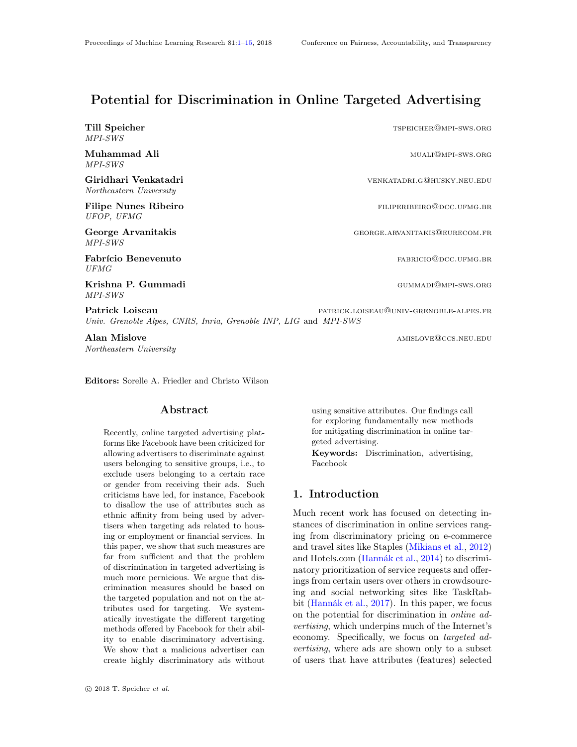# Potential for Discrimination in Online Targeted Advertising

Till Speicher the state of the state of the state of the state of the state of the state of the state of the state of the state of the state of the state of the state of the state of the state of the state of the state of MPI-SWS

Muhammad Ali muali muali muali muali muali muali muali muali muali muali muali muali muali muali muali muali m MPI-SWS

Giridhari Venkatadri venkatadri venkatadri.governo venkatadri.governo venkatadri Northeastern University

Filipe Nunes Ribeiro **filiperibete e a contra el establece** e filiperibete de la filiperibete de la filiperibete de la filiperibete de la filiperibete de la filiperibete de la filiperibete de la filiperibete de la filiperi UFOP, UFMG

George Arvanitakis and the second of the George Arvanitakis@eurecom.fr MPI-SWS

Fabrício Benevenuto **fabrício** Benevenuto **fabrício** Benevenuto UFMG

Krishna P. Gummadi Gummadi Gummadi Gummadi Gummadi Gummadi Gummadi Gummadi Gummadi Gummadi Gummadi Gummadi Gummadi MPI-SWS

Patrick Loiseau **patrick Loiseau** patrick.Loiseau patrick.Loiseau patrick.Loiseau patrick.Loiseau patrick.Loiseau Univ. Grenoble Alpes, CNRS, Inria, Grenoble INP, LIG and MPI-SWS

Alan Mislove **amislove** and the settlement of the settlement of the settlement of the settlement of the settlement of the settlement of the settlement of the settlement of the settlement of the settlement of the settlement Northeastern University

<span id="page-0-0"></span>Editors: Sorelle A. Friedler and Christo Wilson

# Abstract

Recently, online targeted advertising platforms like Facebook have been criticized for allowing advertisers to discriminate against users belonging to sensitive groups, i.e., to exclude users belonging to a certain race or gender from receiving their ads. Such criticisms have led, for instance, Facebook to disallow the use of attributes such as ethnic affinity from being used by advertisers when targeting ads related to housing or employment or financial services. In this paper, we show that such measures are far from sufficient and that the problem of discrimination in targeted advertising is much more pernicious. We argue that discrimination measures should be based on the targeted population and not on the attributes used for targeting. We systematically investigate the different targeting methods offered by Facebook for their ability to enable discriminatory advertising. We show that a malicious advertiser can create highly discriminatory ads without using sensitive attributes. Our findings call for exploring fundamentally new methods for mitigating discrimination in online targeted advertising.

Keywords: Discrimination, advertising, Facebook

# 1. Introduction

Much recent work has focused on detecting instances of discrimination in online services ranging from discriminatory pricing on e-commerce and travel sites like Staples [\(Mikians et al.,](#page-14-1) [2012\)](#page-14-1) and Hotels.com [\(Hannák et al.,](#page-14-2) [2014\)](#page-14-2) to discriminatory prioritization of service requests and offerings from certain users over others in crowdsourcing and social networking sites like TaskRabbit [\(Hannák et al.,](#page-14-3) [2017\)](#page-14-3). In this paper, we focus on the potential for discrimination in online advertising, which underpins much of the Internet's economy. Specifically, we focus on targeted advertising, where ads are shown only to a subset of users that have attributes (features) selected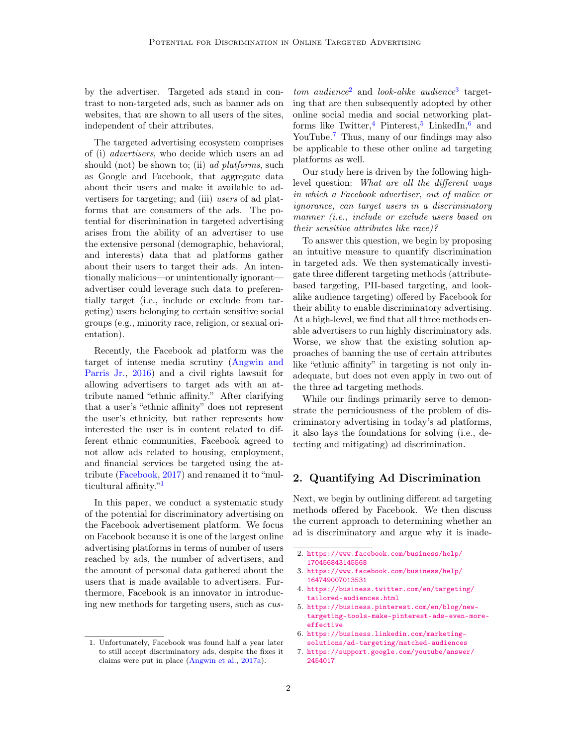by the advertiser. Targeted ads stand in contrast to non-targeted ads, such as banner ads on websites, that are shown to all users of the sites, independent of their attributes.

The targeted advertising ecosystem comprises of (i) advertisers, who decide which users an ad should (not) be shown to; (ii) ad platforms, such as Google and Facebook, that aggregate data about their users and make it available to advertisers for targeting; and (iii) users of ad platforms that are consumers of the ads. The potential for discrimination in targeted advertising arises from the ability of an advertiser to use the extensive personal (demographic, behavioral, and interests) data that ad platforms gather about their users to target their ads. An intentionally malicious—or unintentionally ignorant advertiser could leverage such data to preferentially target (i.e., include or exclude from targeting) users belonging to certain sensitive social groups (e.g., minority race, religion, or sexual orientation).

Recently, the Facebook ad platform was the target of intense media scrutiny [\(Angwin and](#page-14-4) [Parris Jr.,](#page-14-4) [2016\)](#page-14-4) and a civil rights lawsuit for allowing advertisers to target ads with an attribute named "ethnic affinity." After clarifying that a user's "ethnic affinity" does not represent the user's ethnicity, but rather represents how interested the user is in content related to different ethnic communities, Facebook agreed to not allow ads related to housing, employment, and financial services be targeted using the attribute [\(Facebook,](#page-14-5) [2017\)](#page-14-5) and renamed it to "multicultural affinity."[1](#page-1-0)

In this paper, we conduct a systematic study of the potential for discriminatory advertising on the Facebook advertisement platform. We focus on Facebook because it is one of the largest online advertising platforms in terms of number of users reached by ads, the number of advertisers, and the amount of personal data gathered about the users that is made available to advertisers. Furthermore, Facebook is an innovator in introducing new methods for targeting users, such as cus-

 $tom \,\, audience^2$  $tom \,\, audience^2$  and look-alike audience<sup>[3](#page-1-2)</sup> targeting that are then subsequently adopted by other online social media and social networking plat-forms like Twitter,<sup>[4](#page-1-3)</sup> Pinterest,<sup>[5](#page-1-4)</sup> LinkedIn,<sup>[6](#page-1-5)</sup> and YouTube.<sup>[7](#page-1-6)</sup> Thus, many of our findings may also be applicable to these other online ad targeting platforms as well.

Our study here is driven by the following highlevel question: What are all the different ways in which a Facebook advertiser, out of malice or ignorance, can target users in a discriminatory manner (i.e., include or exclude users based on their sensitive attributes like race)?

To answer this question, we begin by proposing an intuitive measure to quantify discrimination in targeted ads. We then systematically investigate three different targeting methods (attributebased targeting, PII-based targeting, and lookalike audience targeting) offered by Facebook for their ability to enable discriminatory advertising. At a high-level, we find that all three methods enable advertisers to run highly discriminatory ads. Worse, we show that the existing solution approaches of banning the use of certain attributes like "ethnic affinity" in targeting is not only inadequate, but does not even apply in two out of the three ad targeting methods.

While our findings primarily serve to demonstrate the perniciousness of the problem of discriminatory advertising in today's ad platforms, it also lays the foundations for solving (i.e., detecting and mitigating) ad discrimination.

# 2. Quantifying Ad Discrimination

Next, we begin by outlining different ad targeting methods offered by Facebook. We then discuss the current approach to determining whether an ad is discriminatory and argue why it is inade-

- <span id="page-1-2"></span>3. [https://www.facebook.com/business/help/](https://www.facebook.com/business/help/164749007013531) [164749007013531](https://www.facebook.com/business/help/164749007013531)
- <span id="page-1-3"></span>4. [https://business.twitter.com/en/targeting/](https://business.twitter.com/en/targeting/tailored-audiences.html) [tailored-audiences.html](https://business.twitter.com/en/targeting/tailored-audiences.html)
- <span id="page-1-4"></span>5. [https://business.pinterest.com/en/blog/new](https://business.pinterest.com/en/blog/new-targeting-tools-make-pinterest-ads-even-more-effective)[targeting-tools-make-pinterest-ads-even-more](https://business.pinterest.com/en/blog/new-targeting-tools-make-pinterest-ads-even-more-effective)[effective](https://business.pinterest.com/en/blog/new-targeting-tools-make-pinterest-ads-even-more-effective)
- <span id="page-1-5"></span>6. [https://business.linkedin.com/marketing](https://business.linkedin.com/marketing-solutions/ad-targeting/matched-audiences)[solutions/ad-targeting/matched-audiences](https://business.linkedin.com/marketing-solutions/ad-targeting/matched-audiences)
- <span id="page-1-6"></span>7. [https://support.google.com/youtube/answer/](https://support.google.com/youtube/answer/2454017) [2454017](https://support.google.com/youtube/answer/2454017)

<span id="page-1-0"></span><sup>1.</sup> Unfortunately, Facebook was found half a year later to still accept discriminatory ads, despite the fixes it claims were put in place [\(Angwin et al.,](#page-14-6) [2017a\)](#page-14-6).

<span id="page-1-1"></span><sup>2.</sup> [https://www.facebook.com/business/help/](https://www.facebook.com/business/help/170456843145568) [170456843145568](https://www.facebook.com/business/help/170456843145568)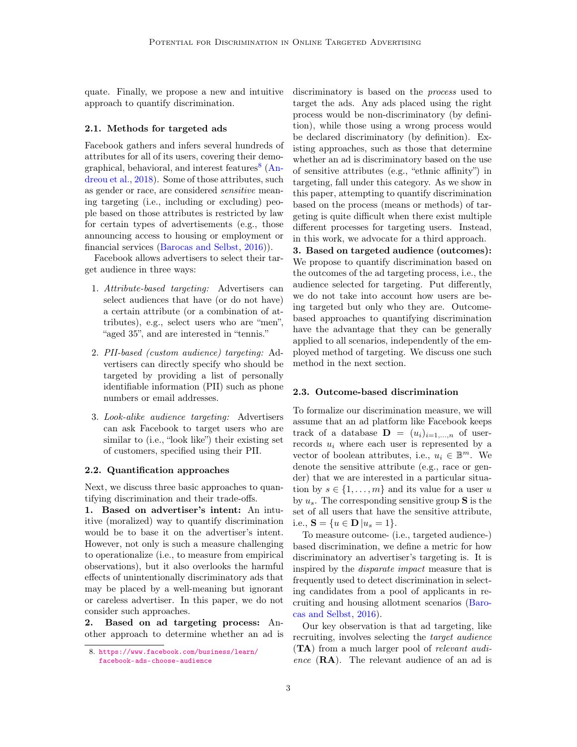quate. Finally, we propose a new and intuitive approach to quantify discrimination.

## 2.1. Methods for targeted ads

Facebook gathers and infers several hundreds of attributes for all of its users, covering their demo-graphical, behavioral, and interest features<sup>[8](#page-2-0)</sup> [\(An](#page-13-0)[dreou et al.,](#page-13-0) [2018\)](#page-13-0). Some of those attributes, such as gender or race, are considered sensitive meaning targeting (i.e., including or excluding) people based on those attributes is restricted by law for certain types of advertisements (e.g., those announcing access to housing or employment or financial services [\(Barocas and Selbst,](#page-14-7) [2016\)](#page-14-7)).

Facebook allows advertisers to select their target audience in three ways:

- 1. Attribute-based targeting: Advertisers can select audiences that have (or do not have) a certain attribute (or a combination of attributes), e.g., select users who are "men", "aged 35", and are interested in "tennis."
- 2. PII-based (custom audience) targeting: Advertisers can directly specify who should be targeted by providing a list of personally identifiable information (PII) such as phone numbers or email addresses.
- 3. Look-alike audience targeting: Advertisers can ask Facebook to target users who are similar to (i.e., "look like") their existing set of customers, specified using their PII.

#### 2.2. Quantification approaches

Next, we discuss three basic approaches to quantifying discrimination and their trade-offs.

1. Based on advertiser's intent: An intuitive (moralized) way to quantify discrimination would be to base it on the advertiser's intent. However, not only is such a measure challenging to operationalize (i.e., to measure from empirical observations), but it also overlooks the harmful effects of unintentionally discriminatory ads that may be placed by a well-meaning but ignorant or careless advertiser. In this paper, we do not consider such approaches.

2. Based on ad targeting process: Another approach to determine whether an ad is discriminatory is based on the process used to target the ads. Any ads placed using the right process would be non-discriminatory (by definition), while those using a wrong process would be declared discriminatory (by definition). Existing approaches, such as those that determine whether an ad is discriminatory based on the use of sensitive attributes (e.g., "ethnic affinity") in targeting, fall under this category. As we show in this paper, attempting to quantify discrimination based on the process (means or methods) of targeting is quite difficult when there exist multiple different processes for targeting users. Instead, in this work, we advocate for a third approach.

3. Based on targeted audience (outcomes): We propose to quantify discrimination based on the outcomes of the ad targeting process, i.e., the audience selected for targeting. Put differently, we do not take into account how users are being targeted but only who they are. Outcomebased approaches to quantifying discrimination have the advantage that they can be generally applied to all scenarios, independently of the employed method of targeting. We discuss one such method in the next section.

## 2.3. Outcome-based discrimination

To formalize our discrimination measure, we will assume that an ad platform like Facebook keeps track of a database  $\mathbf{D} = (u_i)_{i=1,\dots,n}$  of userrecords  $u_i$  where each user is represented by a vector of boolean attributes, i.e.,  $u_i \in \mathbb{B}^m$ . We denote the sensitive attribute (e.g., race or gender) that we are interested in a particular situation by  $s \in \{1, \ldots, m\}$  and its value for a user u by  $u_s$ . The corresponding sensitive group **S** is the set of all users that have the sensitive attribute, i.e.,  $S = \{u \in D | u_s = 1\}.$ 

To measure outcome- (i.e., targeted audience-) based discrimination, we define a metric for how discriminatory an advertiser's targeting is. It is inspired by the disparate impact measure that is frequently used to detect discrimination in selecting candidates from a pool of applicants in recruiting and housing allotment scenarios [\(Baro](#page-14-7)[cas and Selbst,](#page-14-7) [2016\)](#page-14-7).

Our key observation is that ad targeting, like recruiting, involves selecting the target audience (TA) from a much larger pool of relevant audience (RA). The relevant audience of an ad is

<span id="page-2-0"></span><sup>8.</sup> [https://www.facebook.com/business/learn/](https://www.facebook.com/business/learn/facebook-ads-choose-audience) [facebook-ads-choose-audience](https://www.facebook.com/business/learn/facebook-ads-choose-audience)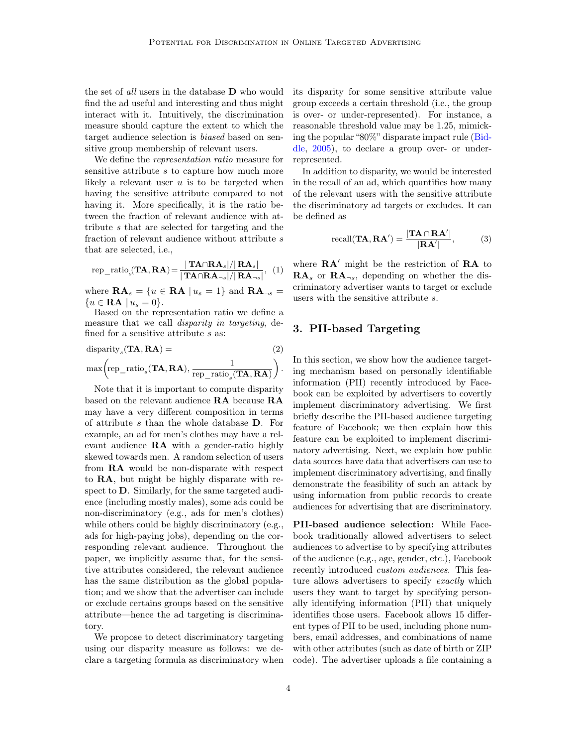the set of all users in the database **D** who would find the ad useful and interesting and thus might interact with it. Intuitively, the discrimination measure should capture the extent to which the target audience selection is biased based on sensitive group membership of relevant users.

We define the representation ratio measure for sensitive attribute s to capture how much more likely a relevant user  $u$  is to be targeted when having the sensitive attribute compared to not having it. More specifically, it is the ratio between the fraction of relevant audience with attribute s that are selected for targeting and the fraction of relevant audience without attribute s that are selected, i.e.,

<span id="page-3-1"></span>rep<sub>\_\_</sub>ratio<sub>s</sub>(**TA**,**RA**) = 
$$
\frac{|\mathbf{TA} \cap \mathbf{RA}_s|/|\mathbf{RA}_s|}{|\mathbf{TA} \cap \mathbf{RA}_{\neg s}|/|\mathbf{RA}_{\neg s}|}, (1)
$$

where  $\mathbf{RA}_s = \{u \in \mathbf{RA} \mid u_s = 1\}$  and  $\mathbf{RA}_{\neg s} =$  ${u \in \mathbf{RA} \mid u_s = 0}.$ 

Based on the representation ratio we define a measure that we call *disparity in targeting*, defined for a sensitive attribute s as:

disparity<sub>s</sub>(**TA, RA**) = (2)  
\n
$$
\max \left( \text{rep\_ratio}_{s}(\mathbf{TA}, \mathbf{RA}), \frac{1}{\text{rep\_ratio}_{s}(\mathbf{TA}, \mathbf{RA})} \right).
$$

Note that it is important to compute disparity based on the relevant audience RA because RA may have a very different composition in terms of attribute s than the whole database D. For example, an ad for men's clothes may have a relevant audience RA with a gender-ratio highly skewed towards men. A random selection of users from RA would be non-disparate with respect to RA, but might be highly disparate with respect to D. Similarly, for the same targeted audience (including mostly males), some ads could be non-discriminatory (e.g., ads for men's clothes) while others could be highly discriminatory (e.g., ads for high-paying jobs), depending on the corresponding relevant audience. Throughout the paper, we implicitly assume that, for the sensitive attributes considered, the relevant audience has the same distribution as the global population; and we show that the advertiser can include or exclude certains groups based on the sensitive attribute—hence the ad targeting is discriminatory.

We propose to detect discriminatory targeting using our disparity measure as follows: we declare a targeting formula as discriminatory when its disparity for some sensitive attribute value group exceeds a certain threshold (i.e., the group is over- or under-represented). For instance, a reasonable threshold value may be 1.25, mimicking the popular "80%" disparate impact rule [\(Bid](#page-14-8)[dle,](#page-14-8) [2005\)](#page-14-8), to declare a group over- or underrepresented.

In addition to disparity, we would be interested in the recall of an ad, which quantifies how many of the relevant users with the sensitive attribute the discriminatory ad targets or excludes. It can be defined as

$$
\text{recall}(\mathbf{T}\mathbf{A}, \mathbf{R}\mathbf{A}') = \frac{|\mathbf{T}\mathbf{A} \cap \mathbf{R}\mathbf{A}'|}{|\mathbf{R}\mathbf{A}'|},\tag{3}
$$

where  $\mathbf{R}\mathbf{A}'$  might be the restriction of  $\mathbf{R}\mathbf{A}$  to  $\mathbf{RA}_s$  or  $\mathbf{RA}_{\neg s}$ , depending on whether the discriminatory advertiser wants to target or exclude users with the sensitive attribute s.

# <span id="page-3-0"></span>3. PII-based Targeting

In this section, we show how the audience targeting mechanism based on personally identifiable information (PII) recently introduced by Facebook can be exploited by advertisers to covertly implement discriminatory advertising. We first briefly describe the PII-based audience targeting feature of Facebook; we then explain how this feature can be exploited to implement discriminatory advertising. Next, we explain how public data sources have data that advertisers can use to implement discriminatory advertising, and finally demonstrate the feasibility of such an attack by using information from public records to create audiences for advertising that are discriminatory.

PII-based audience selection: While Facebook traditionally allowed advertisers to select audiences to advertise to by specifying attributes of the audience (e.g., age, gender, etc.), Facebook recently introduced custom audiences. This feature allows advertisers to specify exactly which users they want to target by specifying personally identifying information (PII) that uniquely identifies those users. Facebook allows 15 different types of PII to be used, including phone numbers, email addresses, and combinations of name with other attributes (such as date of birth or ZIP code). The advertiser uploads a file containing a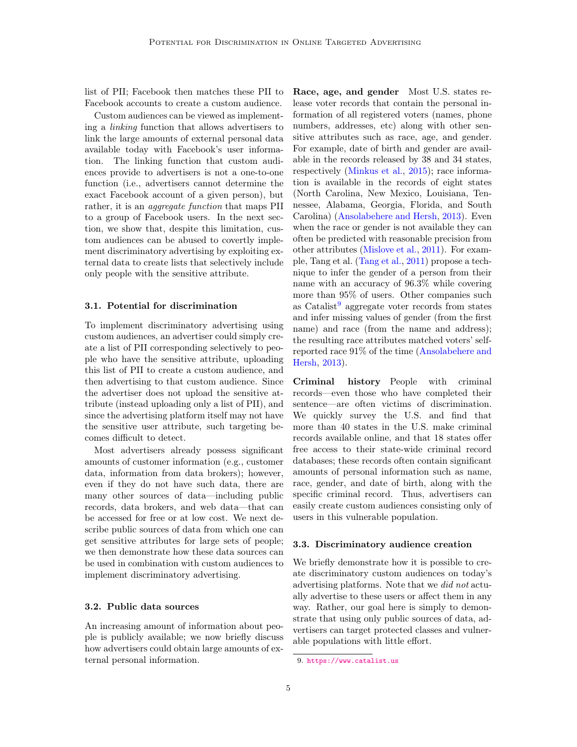list of PII; Facebook then matches these PII to Facebook accounts to create a custom audience.

Custom audiences can be viewed as implementing a linking function that allows advertisers to link the large amounts of external personal data available today with Facebook's user information. The linking function that custom audiences provide to advertisers is not a one-to-one function (i.e., advertisers cannot determine the exact Facebook account of a given person), but rather, it is an *aggregate function* that maps PII to a group of Facebook users. In the next section, we show that, despite this limitation, custom audiences can be abused to covertly implement discriminatory advertising by exploiting external data to create lists that selectively include only people with the sensitive attribute.

## 3.1. Potential for discrimination

To implement discriminatory advertising using custom audiences, an advertiser could simply create a list of PII corresponding selectively to people who have the sensitive attribute, uploading this list of PII to create a custom audience, and then advertising to that custom audience. Since the advertiser does not upload the sensitive attribute (instead uploading only a list of PII), and since the advertising platform itself may not have the sensitive user attribute, such targeting becomes difficult to detect.

Most advertisers already possess significant amounts of customer information (e.g., customer data, information from data brokers); however, even if they do not have such data, there are many other sources of data—including public records, data brokers, and web data—that can be accessed for free or at low cost. We next describe public sources of data from which one can get sensitive attributes for large sets of people; we then demonstrate how these data sources can be used in combination with custom audiences to implement discriminatory advertising.

## 3.2. Public data sources

An increasing amount of information about people is publicly available; we now briefly discuss how advertisers could obtain large amounts of external personal information.

Race, age, and gender Most U.S. states release voter records that contain the personal information of all registered voters (names, phone numbers, addresses, etc) along with other sensitive attributes such as race, age, and gender. For example, date of birth and gender are available in the records released by 38 and 34 states, respectively [\(Minkus et al.,](#page-14-9) [2015\)](#page-14-9); race information is available in the records of eight states (North Carolina, New Mexico, Louisiana, Tennessee, Alabama, Georgia, Florida, and South Carolina) [\(Ansolabehere and Hersh,](#page-14-10) [2013\)](#page-14-10). Even when the race or gender is not available they can often be predicted with reasonable precision from other attributes [\(Mislove et al.,](#page-14-11) [2011\)](#page-14-11). For example, Tang et al. [\(Tang et al.,](#page-14-12) [2011\)](#page-14-12) propose a technique to infer the gender of a person from their name with an accuracy of 96.3% while covering more than 95% of users. Other companies such as  $\text{Catalist}^9$  $\text{Catalist}^9$  aggregate voter records from states and infer missing values of gender (from the first name) and race (from the name and address); the resulting race attributes matched voters' selfreported race 91% of the time [\(Ansolabehere and](#page-14-10) [Hersh,](#page-14-10) [2013\)](#page-14-10).

Criminal history People with criminal records—even those who have completed their sentence—are often victims of discrimination. We quickly survey the U.S. and find that more than 40 states in the U.S. make criminal records available online, and that 18 states offer free access to their state-wide criminal record databases; these records often contain significant amounts of personal information such as name, race, gender, and date of birth, along with the specific criminal record. Thus, advertisers can easily create custom audiences consisting only of users in this vulnerable population.

#### <span id="page-4-1"></span>3.3. Discriminatory audience creation

We briefly demonstrate how it is possible to create discriminatory custom audiences on today's advertising platforms. Note that we did not actually advertise to these users or affect them in any way. Rather, our goal here is simply to demonstrate that using only public sources of data, advertisers can target protected classes and vulnerable populations with little effort.

<span id="page-4-0"></span><sup>9.</sup> <https://www.catalist.us>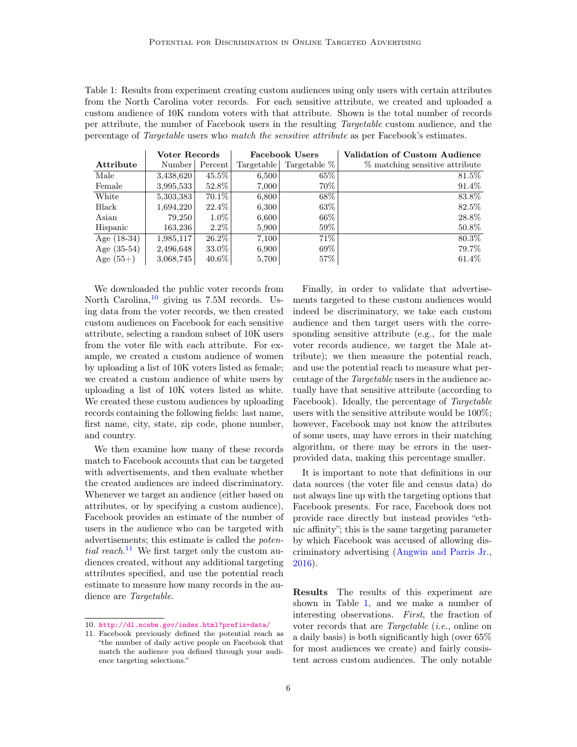<span id="page-5-2"></span>Table 1: Results from experiment creating custom audiences using only users with certain attributes from the North Carolina voter records. For each sensitive attribute, we created and uploaded a custom audience of 10K random voters with that attribute. Shown is the total number of records per attribute, the number of Facebook users in the resulting Targetable custom audience, and the percentage of Targetable users who match the sensitive attribute as per Facebook's estimates.

|               | Voter Records |          | <b>Facebook Users</b> |              | Validation of Custom Audience  |
|---------------|---------------|----------|-----------------------|--------------|--------------------------------|
| Attribute     | Number        | Percent  | Targetable            | Targetable % | % matching sensitive attribute |
| Male          | 3,438,620     | $45.5\%$ | 6,500                 | $65\%$       | $81.5\%$                       |
| Female        | 3,995,533     | 52.8%    | 7,000                 | 70%          | 91.4%                          |
| White         | 5,303,383     | $70.1\%$ | 6,800                 | 68\%         | 83.8%                          |
| Black         | 1,694,220     | 22.4\%   | 6,300                 | $63\%$       | 82.5%                          |
| Asian         | 79,250        | $1.0\%$  | 6,600                 | $66\%$       | 28.8%                          |
| Hispanic      | 163,236       | $2.2\%$  | 5,900                 | $59\%$       | $50.8\%$                       |
| Age $(18-34)$ | 1,985,117     | $26.2\%$ | 7.100                 | 71%          | 80.3%                          |
| Age $(35-54)$ | 2,496,648     | 33.0%    | 6,900                 | 69%          | 79.7%                          |
| Age $(55+)$   | 3,068,745     | $40.6\%$ | 5,700                 | $57\%$       | $61.4\%$                       |

We downloaded the public voter records from North Carolina,  $^{10}$  $^{10}$  $^{10}$  giving us 7.5M records. Using data from the voter records, we then created custom audiences on Facebook for each sensitive attribute, selecting a random subset of 10K users from the voter file with each attribute. For example, we created a custom audience of women by uploading a list of 10K voters listed as female; we created a custom audience of white users by uploading a list of 10K voters listed as white. We created these custom audiences by uploading records containing the following fields: last name, first name, city, state, zip code, phone number, and country.

We then examine how many of these records match to Facebook accounts that can be targeted with advertisements, and then evaluate whether the created audiences are indeed discriminatory. Whenever we target an audience (either based on attributes, or by specifying a custom audience), Facebook provides an estimate of the number of users in the audience who can be targeted with advertisements; this estimate is called the poten-tial reach.<sup>[11](#page-5-1)</sup> We first target only the custom audiences created, without any additional targeting attributes specified, and use the potential reach estimate to measure how many records in the audience are Targetable.

Finally, in order to validate that advertisements targeted to these custom audiences would indeed be discriminatory, we take each custom audience and then target users with the corresponding sensitive attribute (e.g., for the male voter records audience, we target the Male attribute); we then measure the potential reach, and use the potential reach to measure what percentage of the Targetable users in the audience actually have that sensitive attribute (according to Facebook). Ideally, the percentage of Targetable users with the sensitive attribute would be 100%; however, Facebook may not know the attributes of some users, may have errors in their matching algorithm, or there may be errors in the userprovided data, making this percentage smaller.

It is important to note that definitions in our data sources (the voter file and census data) do not always line up with the targeting options that Facebook presents. For race, Facebook does not provide race directly but instead provides "ethnic affinity"; this is the same targeting parameter by which Facebook was accused of allowing discriminatory advertising [\(Angwin and Parris Jr.,](#page-14-4) [2016\)](#page-14-4).

Results The results of this experiment are shown in Table [1,](#page-5-2) and we make a number of interesting observations. First, the fraction of voter records that are Targetable (i.e., online on a daily basis) is both significantly high (over 65% for most audiences we create) and fairly consistent across custom audiences. The only notable

<span id="page-5-0"></span><sup>10.</sup> <http://dl.ncsbe.gov/index.html?prefix=data/>

<span id="page-5-1"></span><sup>11.</sup> Facebook previously defined the potential reach as "the number of daily active people on Facebook that match the audience you defined through your audience targeting selections."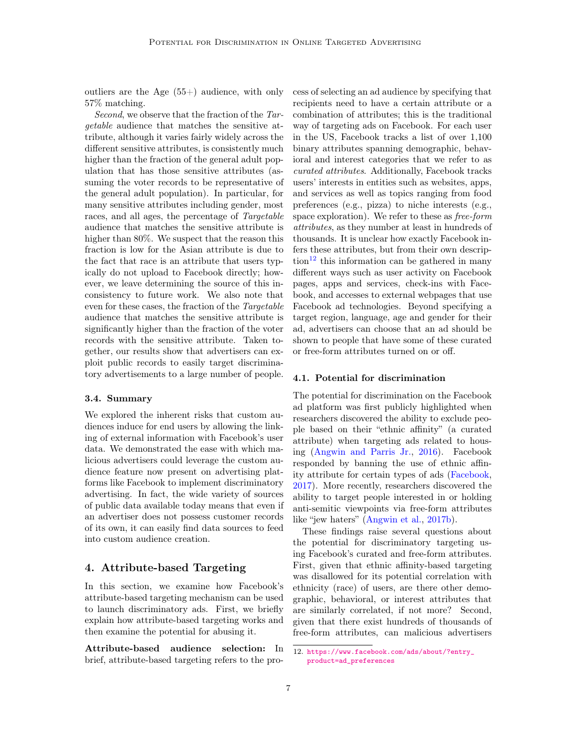outliers are the Age  $(55+)$  audience, with only 57% matching.

Second, we observe that the fraction of the Targetable audience that matches the sensitive attribute, although it varies fairly widely across the different sensitive attributes, is consistently much higher than the fraction of the general adult population that has those sensitive attributes (assuming the voter records to be representative of the general adult population). In particular, for many sensitive attributes including gender, most races, and all ages, the percentage of Targetable audience that matches the sensitive attribute is higher than 80%. We suspect that the reason this fraction is low for the Asian attribute is due to the fact that race is an attribute that users typically do not upload to Facebook directly; however, we leave determining the source of this inconsistency to future work. We also note that even for these cases, the fraction of the Targetable audience that matches the sensitive attribute is significantly higher than the fraction of the voter records with the sensitive attribute. Taken together, our results show that advertisers can exploit public records to easily target discriminatory advertisements to a large number of people.

## 3.4. Summary

We explored the inherent risks that custom audiences induce for end users by allowing the linking of external information with Facebook's user data. We demonstrated the ease with which malicious advertisers could leverage the custom audience feature now present on advertising platforms like Facebook to implement discriminatory advertising. In fact, the wide variety of sources of public data available today means that even if an advertiser does not possess customer records of its own, it can easily find data sources to feed into custom audience creation.

# <span id="page-6-1"></span>4. Attribute-based Targeting

In this section, we examine how Facebook's attribute-based targeting mechanism can be used to launch discriminatory ads. First, we briefly explain how attribute-based targeting works and then examine the potential for abusing it.

Attribute-based audience selection: In brief, attribute-based targeting refers to the process of selecting an ad audience by specifying that recipients need to have a certain attribute or a combination of attributes; this is the traditional way of targeting ads on Facebook. For each user in the US, Facebook tracks a list of over 1,100 binary attributes spanning demographic, behavioral and interest categories that we refer to as curated attributes. Additionally, Facebook tracks users' interests in entities such as websites, apps, and services as well as topics ranging from food preferences (e.g., pizza) to niche interests (e.g., space exploration). We refer to these as free-form attributes, as they number at least in hundreds of thousands. It is unclear how exactly Facebook infers these attributes, but from their own descrip- $\[\tan^{-12}\]$  $\[\tan^{-12}\]$  $\[\tan^{-12}\]$  this information can be gathered in many different ways such as user activity on Facebook pages, apps and services, check-ins with Facebook, and accesses to external webpages that use Facebook ad technologies. Beyond specifying a target region, language, age and gender for their ad, advertisers can choose that an ad should be shown to people that have some of these curated or free-form attributes turned on or off.

### 4.1. Potential for discrimination

The potential for discrimination on the Facebook ad platform was first publicly highlighted when researchers discovered the ability to exclude people based on their "ethnic affinity" (a curated attribute) when targeting ads related to housing [\(Angwin and Parris Jr.,](#page-14-4) [2016\)](#page-14-4). Facebook responded by banning the use of ethnic affinity attribute for certain types of ads [\(Facebook,](#page-14-5) [2017\)](#page-14-5). More recently, researchers discovered the ability to target people interested in or holding anti-semitic viewpoints via free-form attributes like "jew haters" [\(Angwin et al.,](#page-14-13) [2017b\)](#page-14-13).

These findings raise several questions about the potential for discriminatory targeting using Facebook's curated and free-form attributes. First, given that ethnic affinity-based targeting was disallowed for its potential correlation with ethnicity (race) of users, are there other demographic, behavioral, or interest attributes that are similarly correlated, if not more? Second, given that there exist hundreds of thousands of free-form attributes, can malicious advertisers

<span id="page-6-0"></span><sup>12.</sup> [https://www.facebook.com/ads/about/?entry\\_](https://www.facebook.com/ads/about/?entry_product=ad_preferences) [product=ad\\_preferences](https://www.facebook.com/ads/about/?entry_product=ad_preferences)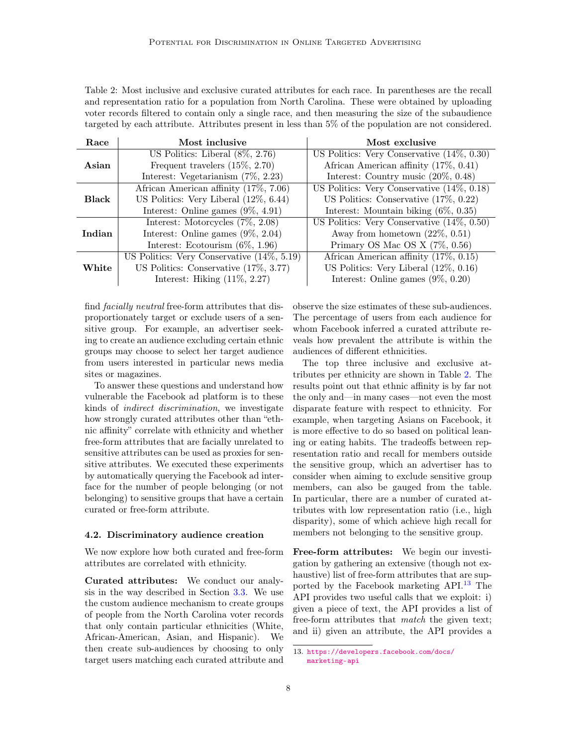<span id="page-7-0"></span>Table 2: Most inclusive and exclusive curated attributes for each race. In parentheses are the recall and representation ratio for a population from North Carolina. These were obtained by uploading voter records filtered to contain only a single race, and then measuring the size of the subaudience targeted by each attribute. Attributes present in less than 5% of the population are not considered.

| Race         | Most inclusive                                | Most exclusive                                |  |  |  |  |
|--------------|-----------------------------------------------|-----------------------------------------------|--|--|--|--|
|              | US Politics: Liberal $(8\%, 2.76)$            | US Politics: Very Conservative $(14\%, 0.30)$ |  |  |  |  |
| Asian        | Frequent travelers $(15\%, 2.70)$             | African American affinity $(17\%, 0.41)$      |  |  |  |  |
|              | Interest: Vegetarianism $(7\%, 2.23)$         | Interest: Country music $(20\%, 0.48)$        |  |  |  |  |
|              | African American affinity (17%, 7.06)         | US Politics: Very Conservative $(14\%, 0.18)$ |  |  |  |  |
| <b>Black</b> | US Politics: Very Liberal $(12\%, 6.44)$      | US Politics: Conservative $(17\%, 0.22)$      |  |  |  |  |
|              | Interest: Online games $(9\%, 4.91)$          | Interest: Mountain biking $(6\%, 0.35)$       |  |  |  |  |
|              | Interest: Motorcycles $(7\%, 2.08)$           | US Politics: Very Conservative $(14\%, 0.50)$ |  |  |  |  |
| Indian       | Interest: Online games $(9\%, 2.04)$          | Away from hometown $(22\%, 0.51)$             |  |  |  |  |
|              | Interest: Ecotourism $(6\%, 1.96)$            | Primary OS Mac OS X $(7\%, 0.56)$             |  |  |  |  |
|              | US Politics: Very Conservative $(14\%, 5.19)$ | African American affinity (17%, 0.15)         |  |  |  |  |
| White        | US Politics: Conservative $(17\%, 3.77)$      | US Politics: Very Liberal $(12\%, 0.16)$      |  |  |  |  |
|              | Interest: Hiking $(11\%, 2.27)$               | Interest: Online games $(9\%, 0.20)$          |  |  |  |  |

find facially neutral free-form attributes that disproportionately target or exclude users of a sensitive group. For example, an advertiser seeking to create an audience excluding certain ethnic groups may choose to select her target audience from users interested in particular news media sites or magazines.

To answer these questions and understand how vulnerable the Facebook ad platform is to these kinds of indirect discrimination, we investigate how strongly curated attributes other than "ethnic affinity" correlate with ethnicity and whether free-form attributes that are facially unrelated to sensitive attributes can be used as proxies for sensitive attributes. We executed these experiments by automatically querying the Facebook ad interface for the number of people belonging (or not belonging) to sensitive groups that have a certain curated or free-form attribute.

#### 4.2. Discriminatory audience creation

We now explore how both curated and free-form attributes are correlated with ethnicity.

Curated attributes: We conduct our analysis in the way described in Section [3.3.](#page-4-1) We use the custom audience mechanism to create groups of people from the North Carolina voter records that only contain particular ethnicities (White, African-American, Asian, and Hispanic). We then create sub-audiences by choosing to only target users matching each curated attribute and observe the size estimates of these sub-audiences. The percentage of users from each audience for whom Facebook inferred a curated attribute reveals how prevalent the attribute is within the audiences of different ethnicities.

The top three inclusive and exclusive attributes per ethnicity are shown in Table [2.](#page-7-0) The results point out that ethnic affinity is by far not the only and—in many cases—not even the most disparate feature with respect to ethnicity. For example, when targeting Asians on Facebook, it is more effective to do so based on political leaning or eating habits. The tradeoffs between representation ratio and recall for members outside the sensitive group, which an advertiser has to consider when aiming to exclude sensitive group members, can also be gauged from the table. In particular, there are a number of curated attributes with low representation ratio (i.e., high disparity), some of which achieve high recall for members not belonging to the sensitive group.

Free-form attributes: We begin our investigation by gathering an extensive (though not exhaustive) list of free-form attributes that are supported by the Facebook marketing API.[13](#page-7-1) The API provides two useful calls that we exploit: i) given a piece of text, the API provides a list of free-form attributes that match the given text; and ii) given an attribute, the API provides a

<span id="page-7-1"></span><sup>13.</sup> [https://developers.facebook.com/docs/](https://developers.facebook.com/docs/marketing-api) [marketing-api](https://developers.facebook.com/docs/marketing-api)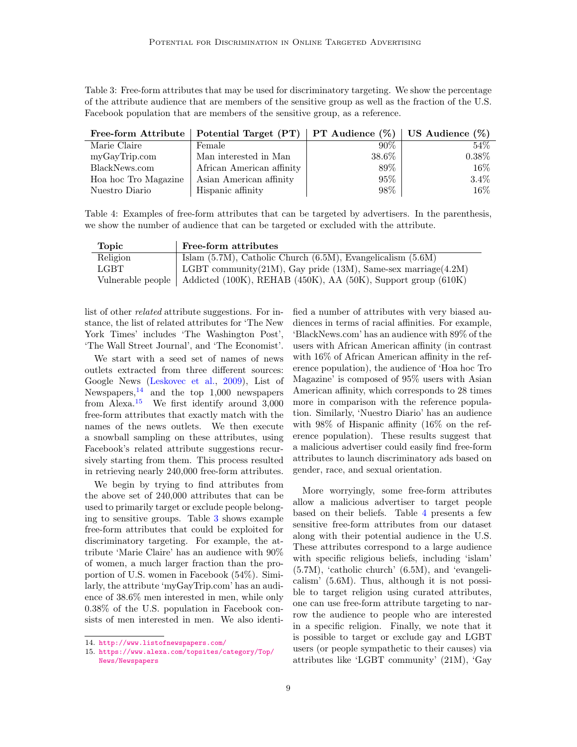<span id="page-8-2"></span>Table 3: Free-form attributes that may be used for discriminatory targeting. We show the percentage of the attribute audience that are members of the sensitive group as well as the fraction of the U.S. Facebook population that are members of the sensitive group, as a reference.

|                      | Free-form Attribute   Potential Target (PT)   PT Audience $(\%)$   US Audience $(\%)$ |        |          |
|----------------------|---------------------------------------------------------------------------------------|--------|----------|
| Marie Claire         | Female                                                                                | $90\%$ | $54\%$   |
| myGayTrip.com        | Man interested in Man                                                                 | 38.6%  | $0.38\%$ |
| BlackNews.com        | African American affinity                                                             | 89%    | $16\%$   |
| Hoa hoc Tro Magazine | Asian American affinity                                                               | $95\%$ | $3.4\%$  |
| Nuestro Diario       | Hispanic affinity                                                                     | 98%    | 16%      |

<span id="page-8-3"></span>Table 4: Examples of free-form attributes that can be targeted by advertisers. In the parenthesis, we show the number of audience that can be targeted or excluded with the attribute.

| Topic             | Free-form attributes                                                    |
|-------------------|-------------------------------------------------------------------------|
| Religion          | Islam $(5.7M)$ , Catholic Church $(6.5M)$ , Evangelicalism $(5.6M)$     |
| LGBT -            | LGBT community $(21M)$ , Gay pride $(13M)$ , Same-sex marriage $(4.2M)$ |
| Vulnerable people | Addicted (100K), REHAB (450K), AA (50K), Support group (610K)           |

list of other related attribute suggestions. For instance, the list of related attributes for 'The New York Times' includes 'The Washington Post', 'The Wall Street Journal', and 'The Economist'.

We start with a seed set of names of news outlets extracted from three different sources: Google News [\(Leskovec et al.,](#page-14-14) [2009\)](#page-14-14), List of Newspapers,  $^{14}$  $^{14}$  $^{14}$  and the top 1,000 newspapers from Alexa.[15](#page-8-1) We first identify around 3,000 free-form attributes that exactly match with the names of the news outlets. We then execute a snowball sampling on these attributes, using Facebook's related attribute suggestions recursively starting from them. This process resulted in retrieving nearly 240,000 free-form attributes.

We begin by trying to find attributes from the above set of 240,000 attributes that can be used to primarily target or exclude people belonging to sensitive groups. Table [3](#page-8-2) shows example free-form attributes that could be exploited for discriminatory targeting. For example, the attribute 'Marie Claire' has an audience with 90% of women, a much larger fraction than the proportion of U.S. women in Facebook (54%). Similarly, the attribute 'myGayTrip.com' has an audience of 38.6% men interested in men, while only 0.38% of the U.S. population in Facebook consists of men interested in men. We also identified a number of attributes with very biased audiences in terms of racial affinities. For example, 'BlackNews.com' has an audience with 89% of the users with African American affinity (in contrast with 16% of African American affinity in the reference population), the audience of 'Hoa hoc Tro Magazine' is composed of 95% users with Asian American affinity, which corresponds to 28 times more in comparison with the reference population. Similarly, 'Nuestro Diario' has an audience with 98% of Hispanic affinity (16% on the reference population). These results suggest that a malicious advertiser could easily find free-form attributes to launch discriminatory ads based on gender, race, and sexual orientation.

More worryingly, some free-form attributes allow a malicious advertiser to target people based on their beliefs. Table [4](#page-8-3) presents a few sensitive free-form attributes from our dataset along with their potential audience in the U.S. These attributes correspond to a large audience with specific religious beliefs, including 'islam' (5.7M), 'catholic church' (6.5M), and 'evangelicalism' (5.6M). Thus, although it is not possible to target religion using curated attributes, one can use free-form attribute targeting to narrow the audience to people who are interested in a specific religion. Finally, we note that it is possible to target or exclude gay and LGBT users (or people sympathetic to their causes) via attributes like 'LGBT community' (21M), 'Gay

<span id="page-8-0"></span><sup>14.</sup> <http://www.listofnewspapers.com/>

<span id="page-8-1"></span><sup>15.</sup> [https://www.alexa.com/topsites/category/Top/](https://www.alexa.com/topsites/category/Top/News/Newspapers) [News/Newspapers](https://www.alexa.com/topsites/category/Top/News/Newspapers)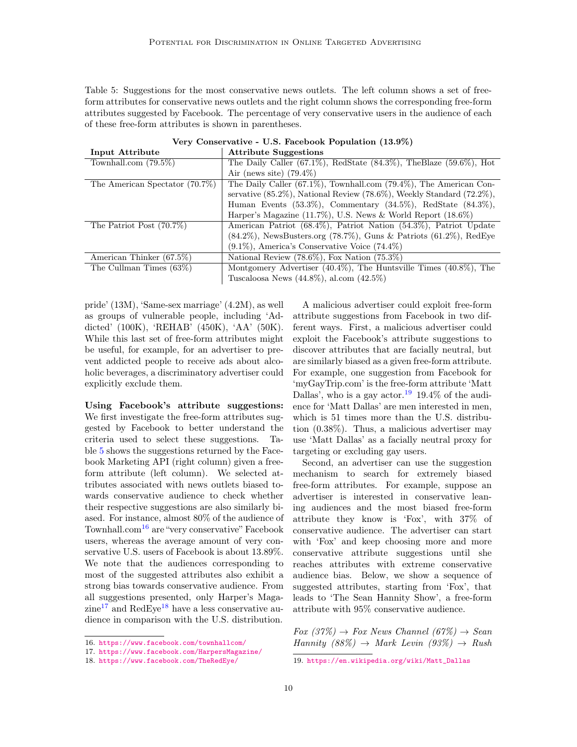<span id="page-9-0"></span>Table 5: Suggestions for the most conservative news outlets. The left column shows a set of freeform attributes for conservative news outlets and the right column shows the corresponding free-form attributes suggested by Facebook. The percentage of very conservative users in the audience of each of these free-form attributes is shown in parentheses.

| Input Attribute                | <b>Attribute Suggestions</b>                                                     |
|--------------------------------|----------------------------------------------------------------------------------|
| Townhall.com $(79.5\%)$        | The Daily Caller $(67.1\%)$ , RedState $(84.3\%)$ , TheBlaze $(59.6\%)$ , Hot    |
|                                | Air (news site) $(79.4\%)$                                                       |
| The American Spectator (70.7%) | The Daily Caller $(67.1\%)$ , Townhall.com $(79.4\%)$ , The American Con-        |
|                                | servative $(85.2\%)$ , National Review $(78.6\%)$ , Weekly Standard $(72.2\%)$ , |
|                                | Human Events $(53.3\%)$ , Commentary $(34.5\%)$ , RedState $(84.3\%)$ ,          |
|                                | Harper's Magazine (11.7%), U.S. News & World Report $(18.6\%)$                   |
| The Patriot Post $(70.7\%)$    | American Patriot (68.4%), Patriot Nation (54.3%), Patriot Update                 |
|                                | $(84.2\%)$ , NewsBusters.org $(78.7\%)$ , Guns & Patriots $(61.2\%)$ , RedEye    |
|                                | $(9.1\%)$ , America's Conservative Voice $(74.4\%)$                              |
| American Thinker $(67.5\%)$    | National Review $(78.6\%)$ , Fox Nation $(75.3\%)$                               |
| The Cullman Times $(63\%)$     | Montgomery Advertiser $(40.4\%)$ , The Huntsville Times $(40.8\%)$ , The         |
|                                | Tuscaloosa News $(44.8\%)$ , al.com $(42.5\%)$                                   |

Very Conservative - U.S. Facebook Population (13.9%)

pride' (13M), 'Same-sex marriage' (4.2M), as well as groups of vulnerable people, including 'Addicted' (100K), 'REHAB' (450K), 'AA' (50K). While this last set of free-form attributes might be useful, for example, for an advertiser to prevent addicted people to receive ads about alcoholic beverages, a discriminatory advertiser could explicitly exclude them.

Using Facebook's attribute suggestions: We first investigate the free-form attributes suggested by Facebook to better understand the criteria used to select these suggestions. Table [5](#page-9-0) shows the suggestions returned by the Facebook Marketing API (right column) given a freeform attribute (left column). We selected attributes associated with news outlets biased towards conservative audience to check whether their respective suggestions are also similarly biased. For instance, almost 80% of the audience of Townhall.com<sup>[16](#page-9-1)</sup> are "very conservative" Facebook users, whereas the average amount of very conservative U.S. users of Facebook is about 13.89%. We note that the audiences corresponding to most of the suggested attributes also exhibit a strong bias towards conservative audience. From all suggestions presented, only Harper's Maga- $zine^{17}$  $zine^{17}$  $zine^{17}$  and RedEye<sup>[18](#page-9-3)</sup> have a less conservative audience in comparison with the U.S. distribution.

A malicious advertiser could exploit free-form attribute suggestions from Facebook in two different ways. First, a malicious advertiser could exploit the Facebook's attribute suggestions to discover attributes that are facially neutral, but are similarly biased as a given free-form attribute. For example, one suggestion from Facebook for 'myGayTrip.com' is the free-form attribute 'Matt Dallas', who is a gay actor.<sup>[19](#page-9-4)</sup> 19.4% of the audience for 'Matt Dallas' are men interested in men, which is 51 times more than the U.S. distribution (0.38%). Thus, a malicious advertiser may use 'Matt Dallas' as a facially neutral proxy for targeting or excluding gay users.

Second, an advertiser can use the suggestion mechanism to search for extremely biased free-form attributes. For example, suppose an advertiser is interested in conservative leaning audiences and the most biased free-form attribute they know is 'Fox', with 37% of conservative audience. The advertiser can start with 'Fox' and keep choosing more and more conservative attribute suggestions until she reaches attributes with extreme conservative audience bias. Below, we show a sequence of suggested attributes, starting from 'Fox', that leads to 'The Sean Hannity Show', a free-form attribute with 95% conservative audience.

 $For (37\%) \rightarrow For News Channel (67\%) \rightarrow Sean$ Hannity  $(88\%) \rightarrow Mark Levin (93\%) \rightarrow Rush$ 

<span id="page-9-1"></span><sup>16.</sup> <https://www.facebook.com/townhallcom/>

<span id="page-9-2"></span><sup>17.</sup> <https://www.facebook.com/HarpersMagazine/>

<span id="page-9-3"></span><sup>18.</sup> <https://www.facebook.com/TheRedEye/>

<span id="page-9-4"></span><sup>19.</sup> [https://en.wikipedia.org/wiki/Matt\\_Dallas](https://en.wikipedia.org/wiki/Matt_Dallas)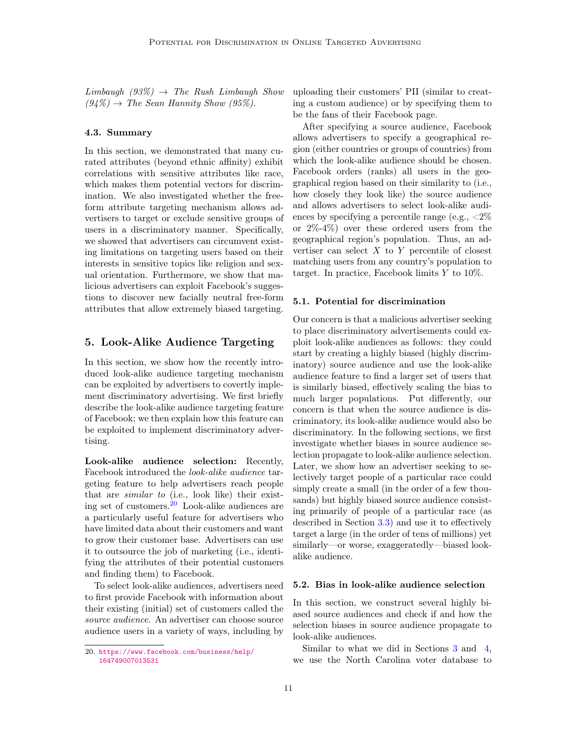$Limbaugh$  (93%)  $\rightarrow$  The Rush Limbaugh Show  $(94\%) \rightarrow$  The Sean Hannity Show (95%).

#### 4.3. Summary

In this section, we demonstrated that many curated attributes (beyond ethnic affinity) exhibit correlations with sensitive attributes like race, which makes them potential vectors for discrimination. We also investigated whether the freeform attribute targeting mechanism allows advertisers to target or exclude sensitive groups of users in a discriminatory manner. Specifically, we showed that advertisers can circumvent existing limitations on targeting users based on their interests in sensitive topics like religion and sexual orientation. Furthermore, we show that malicious advertisers can exploit Facebook's suggestions to discover new facially neutral free-form attributes that allow extremely biased targeting.

# 5. Look-Alike Audience Targeting

In this section, we show how the recently introduced look-alike audience targeting mechanism can be exploited by advertisers to covertly implement discriminatory advertising. We first briefly describe the look-alike audience targeting feature of Facebook; we then explain how this feature can be exploited to implement discriminatory advertising.

Look-alike audience selection: Recently, Facebook introduced the look-alike audience targeting feature to help advertisers reach people that are similar to (i.e., look like) their existing set of customers.[20](#page-10-0) Look-alike audiences are a particularly useful feature for advertisers who have limited data about their customers and want to grow their customer base. Advertisers can use it to outsource the job of marketing (i.e., identifying the attributes of their potential customers and finding them) to Facebook.

To select look-alike audiences, advertisers need to first provide Facebook with information about their existing (initial) set of customers called the source audience. An advertiser can choose source audience users in a variety of ways, including by

uploading their customers' PII (similar to creating a custom audience) or by specifying them to be the fans of their Facebook page.

After specifying a source audience, Facebook allows advertisers to specify a geographical region (either countries or groups of countries) from which the look-alike audience should be chosen. Facebook orders (ranks) all users in the geographical region based on their similarity to (i.e., how closely they look like) the source audience and allows advertisers to select look-alike audiences by specifying a percentile range (e.g.,  $\langle 2\% \rangle$ or 2%-4%) over these ordered users from the geographical region's population. Thus, an advertiser can select  $X$  to  $Y$  percentile of closest matching users from any country's population to target. In practice, Facebook limits Y to 10%.

## 5.1. Potential for discrimination

Our concern is that a malicious advertiser seeking to place discriminatory advertisements could exploit look-alike audiences as follows: they could start by creating a highly biased (highly discriminatory) source audience and use the look-alike audience feature to find a larger set of users that is similarly biased, effectively scaling the bias to much larger populations. Put differently, our concern is that when the source audience is discriminatory, its look-alike audience would also be discriminatory. In the following sections, we first investigate whether biases in source audience selection propagate to look-alike audience selection. Later, we show how an advertiser seeking to selectively target people of a particular race could simply create a small (in the order of a few thousands) but highly biased source audience consisting primarily of people of a particular race (as described in Section [3.3\)](#page-4-1) and use it to effectively target a large (in the order of tens of millions) yet similarly—or worse, exaggeratedly—biased lookalike audience.

## 5.2. Bias in look-alike audience selection

In this section, we construct several highly biased source audiences and check if and how the selection biases in source audience propagate to look-alike audiences.

Similar to what we did in Sections [3](#page-3-0) and [4,](#page-6-1) we use the North Carolina voter database to

<span id="page-10-0"></span><sup>20.</sup> [https://www.facebook.com/business/help/](https://www.facebook.com/business/help/164749007013531) [164749007013531](https://www.facebook.com/business/help/164749007013531)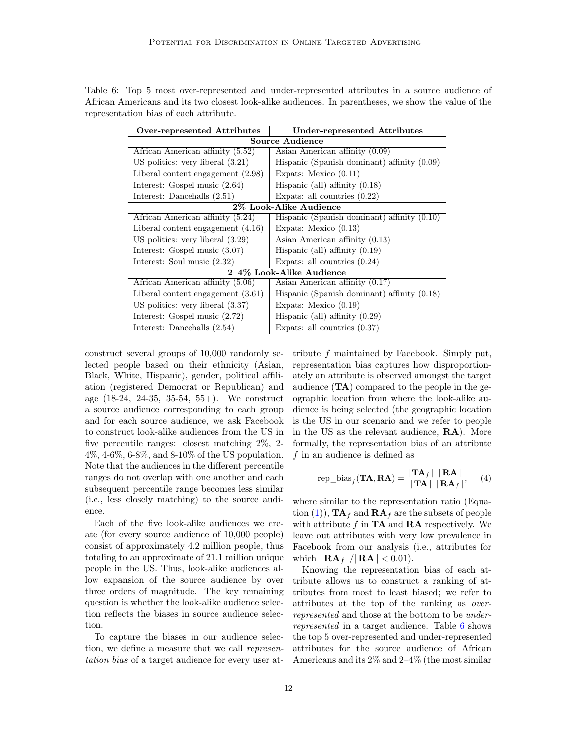<span id="page-11-0"></span>

|                                        |  |  | Table 6: Top 5 most over-represented and under-represented attributes in a source audience of        |  |  |  |
|----------------------------------------|--|--|------------------------------------------------------------------------------------------------------|--|--|--|
|                                        |  |  | African Americans and its two closest look-alike audiences. In parentheses, we show the value of the |  |  |  |
| representation bias of each attribute. |  |  |                                                                                                      |  |  |  |

| Over-represented Attributes         | Under-represented Attributes                  |  |  |  |  |
|-------------------------------------|-----------------------------------------------|--|--|--|--|
| <b>Source Audience</b>              |                                               |  |  |  |  |
| African American affinity (5.52)    | Asian American affinity (0.09)                |  |  |  |  |
| US politics: very liberal $(3.21)$  | Hispanic (Spanish dominant) affinity $(0.09)$ |  |  |  |  |
| Liberal content engagement $(2.98)$ | Expats: Mexico $(0.11)$                       |  |  |  |  |
| Interest: Gospel music $(2.64)$     | Hispanic (all) affinity $(0.18)$              |  |  |  |  |
| Interest: Dancehalls (2.51)         | Expats: all countries $(0.22)$                |  |  |  |  |
| 2% Look-Alike Audience              |                                               |  |  |  |  |
| African American affinity (5.24)    | Hispanic (Spanish dominant) affinity (0.10)   |  |  |  |  |
| Liberal content engagement $(4.16)$ | Expats: Mexico $(0.13)$                       |  |  |  |  |
| US politics: very liberal $(3.29)$  | Asian American affinity (0.13)                |  |  |  |  |
| Interest: Gospel music (3.07)       | Hispanic (all) affinity $(0.19)$              |  |  |  |  |
| Interest: Soul music (2.32)         | Expats: all countries $(0.24)$                |  |  |  |  |
| 2-4% Look-Alike Audience            |                                               |  |  |  |  |
| African American affinity (5.06)    | Asian American affinity (0.17)                |  |  |  |  |
| Liberal content engagement $(3.61)$ | Hispanic (Spanish dominant) affinity (0.18)   |  |  |  |  |
| US politics: very liberal $(3.37)$  | Expats: Mexico $(0.19)$                       |  |  |  |  |
| Interest: Gospel music $(2.72)$     | Hispanic (all) affinity $(0.29)$              |  |  |  |  |
| Interest: Dancehalls (2.54)         | Expats: all countries $(0.37)$                |  |  |  |  |

construct several groups of 10,000 randomly selected people based on their ethnicity (Asian, Black, White, Hispanic), gender, political affiliation (registered Democrat or Republican) and age (18-24, 24-35, 35-54, 55+). We construct a source audience corresponding to each group and for each source audience, we ask Facebook to construct look-alike audiences from the US in five percentile ranges: closest matching 2%, 2- 4%, 4-6%, 6-8%, and 8-10% of the US population. Note that the audiences in the different percentile ranges do not overlap with one another and each subsequent percentile range becomes less similar (i.e., less closely matching) to the source audience.

Each of the five look-alike audiences we create (for every source audience of 10,000 people) consist of approximately 4.2 million people, thus totaling to an approximate of 21.1 million unique people in the US. Thus, look-alike audiences allow expansion of the source audience by over three orders of magnitude. The key remaining question is whether the look-alike audience selection reflects the biases in source audience selection.

To capture the biases in our audience selection, we define a measure that we call representation bias of a target audience for every user attribute f maintained by Facebook. Simply put, representation bias captures how disproportionately an attribute is observed amongst the target audience (TA) compared to the people in the geographic location from where the look-alike audience is being selected (the geographic location is the US in our scenario and we refer to people in the US as the relevant audience, RA). More formally, the representation bias of an attribute f in an audience is defined as

$$
rep\_bias_f(\mathbf{TA}, \mathbf{RA}) = \frac{|\mathbf{TA}_f|}{|\mathbf{TA}|} \frac{|\mathbf{RA}|}{|\mathbf{RA}_f|}, \quad (4)
$$

where similar to the representation ratio (Equa-tion [\(1\)](#page-3-1)),  $TA_f$  and  $RA_f$  are the subsets of people with attribute  $f$  in **TA** and **RA** respectively. We leave out attributes with very low prevalence in Facebook from our analysis (i.e., attributes for which  $|\mathbf{RA}_f|/|\mathbf{RA}| < 0.01$ ).

Knowing the representation bias of each attribute allows us to construct a ranking of attributes from most to least biased; we refer to attributes at the top of the ranking as overrepresented and those at the bottom to be underrepresented in a target audience. Table [6](#page-11-0) shows the top 5 over-represented and under-represented attributes for the source audience of African Americans and its 2% and 2–4% (the most similar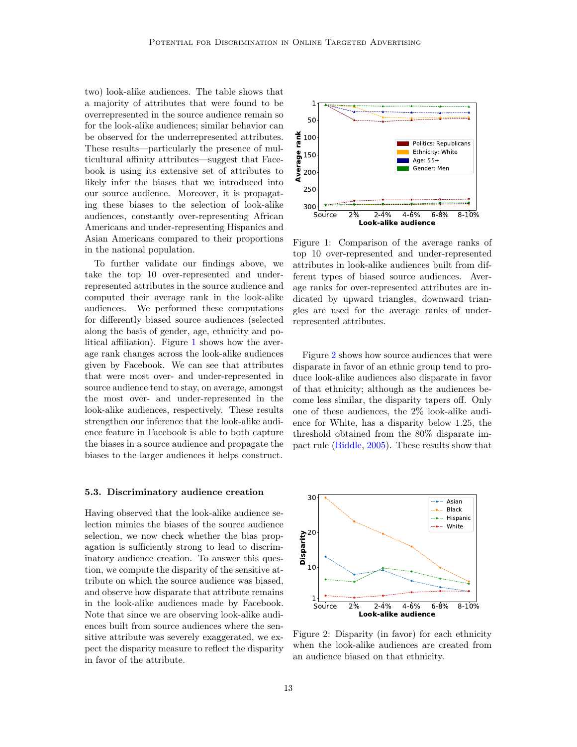two) look-alike audiences. The table shows that a majority of attributes that were found to be overrepresented in the source audience remain so for the look-alike audiences; similar behavior can be observed for the underrepresented attributes. These results—particularly the presence of multicultural affinity attributes—suggest that Facebook is using its extensive set of attributes to likely infer the biases that we introduced into our source audience. Moreover, it is propagating these biases to the selection of look-alike audiences, constantly over-representing African Americans and under-representing Hispanics and Asian Americans compared to their proportions in the national population.

To further validate our findings above, we take the top 10 over-represented and underrepresented attributes in the source audience and computed their average rank in the look-alike audiences. We performed these computations for differently biased source audiences (selected along the basis of gender, age, ethnicity and political affiliation). Figure [1](#page-12-0) shows how the average rank changes across the look-alike audiences given by Facebook. We can see that attributes that were most over- and under-represented in source audience tend to stay, on average, amongst the most over- and under-represented in the look-alike audiences, respectively. These results strengthen our inference that the look-alike audience feature in Facebook is able to both capture the biases in a source audience and propagate the biases to the larger audiences it helps construct.

#### 5.3. Discriminatory audience creation

Having observed that the look-alike audience selection mimics the biases of the source audience selection, we now check whether the bias propagation is sufficiently strong to lead to discriminatory audience creation. To answer this question, we compute the disparity of the sensitive attribute on which the source audience was biased, and observe how disparate that attribute remains in the look-alike audiences made by Facebook. Note that since we are observing look-alike audiences built from source audiences where the sensitive attribute was severely exaggerated, we expect the disparity measure to reflect the disparity in favor of the attribute.

<span id="page-12-0"></span>

Figure 1: Comparison of the average ranks of top 10 over-represented and under-represented attributes in look-alike audiences built from different types of biased source audiences. Average ranks for over-represented attributes are indicated by upward triangles, downward triangles are used for the average ranks of underrepresented attributes.

Figure [2](#page-12-1) shows how source audiences that were disparate in favor of an ethnic group tend to produce look-alike audiences also disparate in favor of that ethnicity; although as the audiences become less similar, the disparity tapers off. Only one of these audiences, the 2% look-alike audience for White, has a disparity below 1.25, the threshold obtained from the 80% disparate impact rule [\(Biddle,](#page-14-8) [2005\)](#page-14-8). These results show that

<span id="page-12-1"></span>

Figure 2: Disparity (in favor) for each ethnicity when the look-alike audiences are created from an audience biased on that ethnicity.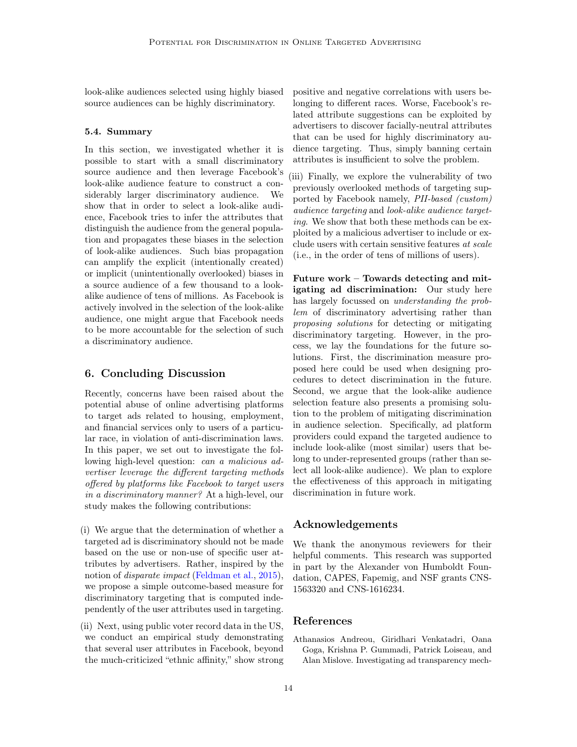look-alike audiences selected using highly biased source audiences can be highly discriminatory.

#### 5.4. Summary

In this section, we investigated whether it is possible to start with a small discriminatory source audience and then leverage Facebook's look-alike audience feature to construct a considerably larger discriminatory audience. We show that in order to select a look-alike audience, Facebook tries to infer the attributes that distinguish the audience from the general population and propagates these biases in the selection of look-alike audiences. Such bias propagation can amplify the explicit (intentionally created) or implicit (unintentionally overlooked) biases in a source audience of a few thousand to a lookalike audience of tens of millions. As Facebook is actively involved in the selection of the look-alike audience, one might argue that Facebook needs to be more accountable for the selection of such a discriminatory audience.

# 6. Concluding Discussion

Recently, concerns have been raised about the potential abuse of online advertising platforms to target ads related to housing, employment, and financial services only to users of a particular race, in violation of anti-discrimination laws. In this paper, we set out to investigate the following high-level question: can a malicious advertiser leverage the different targeting methods offered by platforms like Facebook to target users in a discriminatory manner? At a high-level, our study makes the following contributions:

- (i) We argue that the determination of whether a targeted ad is discriminatory should not be made based on the use or non-use of specific user attributes by advertisers. Rather, inspired by the notion of *disparate impact* [\(Feldman et al.,](#page-14-15) [2015\)](#page-14-15), we propose a simple outcome-based measure for discriminatory targeting that is computed independently of the user attributes used in targeting.
- (ii) Next, using public voter record data in the US, we conduct an empirical study demonstrating that several user attributes in Facebook, beyond the much-criticized "ethnic affinity," show strong

positive and negative correlations with users belonging to different races. Worse, Facebook's related attribute suggestions can be exploited by advertisers to discover facially-neutral attributes that can be used for highly discriminatory audience targeting. Thus, simply banning certain attributes is insufficient to solve the problem.

(iii) Finally, we explore the vulnerability of two previously overlooked methods of targeting supported by Facebook namely, PII-based (custom) audience targeting and look-alike audience targeting. We show that both these methods can be exploited by a malicious advertiser to include or exclude users with certain sensitive features at scale (i.e., in the order of tens of millions of users).

Future work – Towards detecting and mitigating ad discrimination: Our study here has largely focussed on understanding the problem of discriminatory advertising rather than proposing solutions for detecting or mitigating discriminatory targeting. However, in the process, we lay the foundations for the future solutions. First, the discrimination measure proposed here could be used when designing procedures to detect discrimination in the future. Second, we argue that the look-alike audience selection feature also presents a promising solution to the problem of mitigating discrimination in audience selection. Specifically, ad platform providers could expand the targeted audience to include look-alike (most similar) users that belong to under-represented groups (rather than select all look-alike audience). We plan to explore the effectiveness of this approach in mitigating discrimination in future work.

# Acknowledgements

We thank the anonymous reviewers for their helpful comments. This research was supported in part by the Alexander von Humboldt Foundation, CAPES, Fapemig, and NSF grants CNS-1563320 and CNS-1616234.

## References

<span id="page-13-0"></span>Athanasios Andreou, Giridhari Venkatadri, Oana Goga, Krishna P. Gummadi, Patrick Loiseau, and Alan Mislove. Investigating ad transparency mech